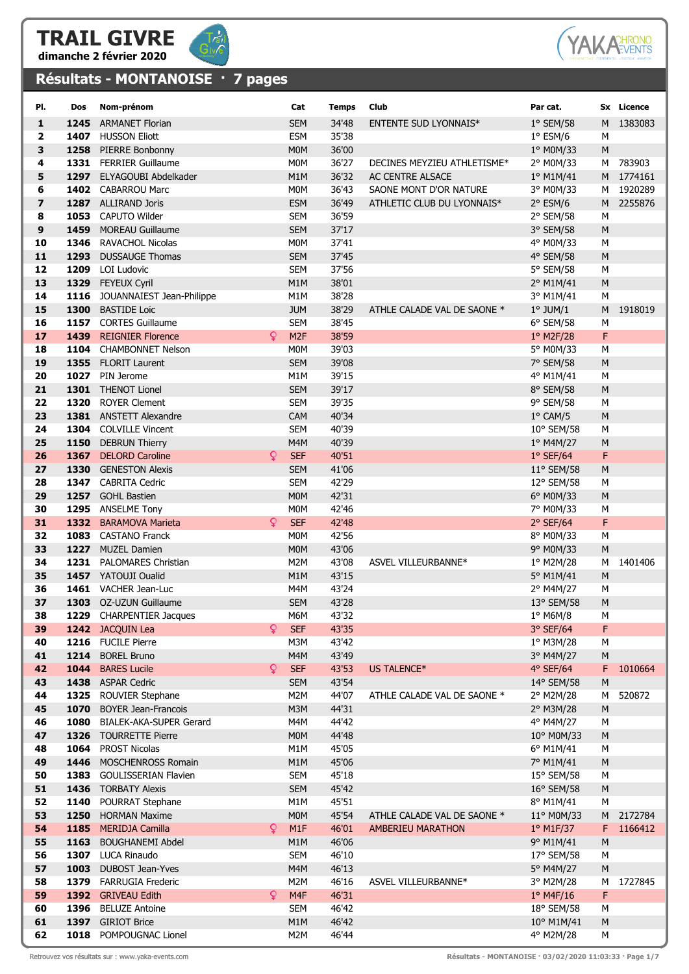



## Résultats - MONTANOISE · 7 pages



| PI.                     | Dos  | Nom-prénom                                 |    | Cat                            | <b>Temps</b>   | Club                         | Par cat.                 |           | Sx Licence |
|-------------------------|------|--------------------------------------------|----|--------------------------------|----------------|------------------------------|--------------------------|-----------|------------|
| 1                       | 1245 | <b>ARMANET Florian</b>                     |    | <b>SEM</b>                     | 34'48          | <b>ENTENTE SUD LYONNAIS*</b> | $1°$ SEM/58              | M         | 1383083    |
| $\overline{\mathbf{2}}$ |      | 1407 HUSSON Eliott                         |    | <b>ESM</b>                     | 35'38          |                              | $1^{\circ}$ ESM/6        | M         |            |
| 3                       |      | 1258 PIERRE Bonbonny                       |    | M <sub>0</sub> M               | 36'00          |                              | 1° M0M/33                | M         |            |
| 4                       |      | 1331 FERRIER Guillaume                     |    | M <sub>0</sub> M               | 36'27          | DECINES MEYZIEU ATHLETISME*  | 2° M0M/33                | м         | 783903     |
| 5                       |      | 1297 ELYAGOUBI Abdelkader                  |    | M1M                            | 36'32          | AC CENTRE ALSACE             | 1° M1M/41                |           | M 1774161  |
| 6                       |      | 1402 CABARROU Marc                         |    | M <sub>0</sub> M               | 36'43          | SAONE MONT D'OR NATURE       | 3° M0M/33                | м         | 1920289    |
| $\overline{ }$          |      | 1287 ALLIRAND Joris                        |    | <b>ESM</b>                     | 36'49          | ATHLETIC CLUB DU LYONNAIS*   | $2°$ ESM/6               | M         | 2255876    |
| 8                       | 1053 | CAPUTO Wilder                              |    | <b>SEM</b>                     | 36'59          |                              | 2° SEM/58                | M         |            |
| 9                       | 1459 | <b>MOREAU Guillaume</b>                    |    | <b>SEM</b>                     | 37'17          |                              | 3° SEM/58                | M         |            |
| 10                      | 1346 | <b>RAVACHOL Nicolas</b>                    |    | M <sub>0</sub> M               | 37'41          |                              | 4° M0M/33                | M         |            |
| 11                      |      | 1293 DUSSAUGE Thomas                       |    | <b>SEM</b>                     | 37'45          |                              | 4° SEM/58                | M         |            |
| 12                      |      | 1209 LOI Ludovic                           |    | <b>SEM</b>                     | 37'56          |                              | 5° SEM/58                | M         |            |
| 13                      |      | 1329 FEYEUX Cyril                          |    | M <sub>1</sub> M               | 38'01          |                              | 2° M1M/41                | M         |            |
| 14                      | 1116 | JOUANNAIEST Jean-Philippe                  |    | M1M                            | 38'28          |                              | 3° M1M/41                | M         |            |
| 15                      | 1300 | <b>BASTIDE Loic</b>                        |    | <b>JUM</b>                     | 38'29          | ATHLE CALADE VAL DE SAONE *  | $1^\circ$ JUM/1          | M         | 1918019    |
| 16                      |      | 1157 CORTES Guillaume                      |    | <b>SEM</b>                     | 38'45          |                              | 6° SEM/58                | M         |            |
| 17                      |      | 1439 REIGNIER Florence                     | Q  | M <sub>2F</sub>                | 38'59          |                              | 1° M2F/28                | F         |            |
| 18                      |      | 1104 CHAMBONNET Nelson                     |    | M <sub>0</sub> M               | 39'03          |                              | 5° M0M/33                | M         |            |
| 19                      |      | 1355 FLORIT Laurent                        |    | <b>SEM</b>                     | 39'08          |                              | 7° SEM/58                | M         |            |
| 20                      | 1027 | PIN Jerome                                 |    | M1M                            | 39'15          |                              | 4° M1M/41                | M         |            |
| 21                      |      | 1301 THENOT Lionel                         |    | <b>SEM</b>                     | 39'17          |                              | 8° SEM/58                | M         |            |
| 22                      | 1320 | <b>ROYER Clement</b>                       |    | <b>SEM</b>                     | 39'35          |                              | 9° SEM/58                | М         |            |
| 23                      |      | 1381 ANSTETT Alexandre                     |    | <b>CAM</b>                     | 40'34          |                              | $1°$ CAM/5               | M         |            |
| 24                      | 1304 | <b>COLVILLE Vincent</b>                    |    | <b>SEM</b>                     | 40'39          |                              | 10° SEM/58               | M         |            |
| 25                      | 1150 | <b>DEBRUN Thierry</b>                      |    | M4M                            | 40'39          |                              | 1º M4M/27                | M         |            |
| 26                      | 1367 | <b>DELORD Caroline</b>                     | Q. | <b>SEF</b>                     | 40'51          |                              | $1°$ SEF/64              | F         |            |
| 27                      | 1330 | <b>GENESTON Alexis</b>                     |    | <b>SEM</b>                     | 41'06          |                              | 11° SEM/58               | M         |            |
| 28                      |      | 1347 CABRITA Cedric                        |    | <b>SEM</b>                     | 42'29          |                              | 12° SEM/58               | М         |            |
| 29                      |      | 1257 GOHL Bastien                          |    | <b>MOM</b>                     | 42'31          |                              | 6° M0M/33                | M         |            |
| 30<br>31                |      | 1295 ANSELME Tony<br>1332 BARAMOVA Marieta | Q  | M <sub>0</sub> M<br><b>SEF</b> | 42'46<br>42'48 |                              | 7° M0M/33<br>$2°$ SEF/64 | M<br>F    |            |
| 32                      |      | 1083 CASTANO Franck                        |    | M <sub>0</sub> M               | 42'56          |                              | 8° M0M/33                | M         |            |
| 33                      |      | 1227 MUZEL Damien                          |    | M <sub>0</sub> M               | 43'06          |                              | 9° M0M/33                | M         |            |
| 34                      |      | 1231 PALOMARES Christian                   |    | M2M                            | 43'08          | ASVEL VILLEURBANNE*          | 1º M2M/28                | M         | 1401406    |
| 35                      |      | 1457 YATOUJI Oualid                        |    | M1M                            | 43'15          |                              | 5° M1M/41                | M         |            |
| 36                      |      | 1461 VACHER Jean-Luc                       |    | M4M                            | 43'24          |                              | 2° M4M/27                | M         |            |
| 37                      |      | 1303 OZ-UZUN Guillaume                     |    | <b>SEM</b>                     | 43'28          |                              | 13° SEM/58               | M         |            |
| 38                      |      | <b>1229</b> CHARPENTIER Jacques            |    | M6M                            | 43'32          |                              | $1^\circ$ M6M/8          | M         |            |
| 39                      |      | 1242 JACQUIN Lea                           | Q  | <b>SEF</b>                     | 43'35          |                              | 3° SEF/64                | F         |            |
| 40                      |      | 1216 FUCILE Pierre                         |    | M3M                            | 43'42          |                              | 1º M3M/28                | M         |            |
| 41                      |      | 1214 BOREL Bruno                           |    | M4M                            | 43'49          |                              | 3° M4M/27                | ${\sf M}$ |            |
| 42                      |      | 1044 BARES Lucile                          | Q. | <b>SEF</b>                     | 43'53          | US TALENCE*                  | 4° SEF/64                | F         | 1010664    |
| 43                      |      | 1438 ASPAR Cedric                          |    | <b>SEM</b>                     | 43'54          |                              | 14° SEM/58               | M         |            |
| 44                      | 1325 | ROUVIER Stephane                           |    | M2M                            | 44'07          | ATHLE CALADE VAL DE SAONE *  | 2° M2M/28                | М         | 520872     |
| 45                      | 1070 | <b>BOYER Jean-Francois</b>                 |    | M3M                            | 44'31          |                              | 2° M3M/28                | M         |            |
| 46                      | 1080 | <b>BIALEK-AKA-SUPER Gerard</b>             |    | M4M                            | 44'42          |                              | 4° M4M/27                | M         |            |
| 47                      |      | 1326 TOURRETTE Pierre                      |    | M <sub>0</sub> M               | 44'48          |                              | 10° M0M/33               | ${\sf M}$ |            |
| 48                      |      | 1064 PROST Nicolas                         |    | M1M                            | 45'05          |                              | 6° M1M/41                | M         |            |
| 49                      | 1446 | <b>MOSCHENROSS Romain</b>                  |    | M1M                            | 45'06          |                              | 7° M1M/41                | M         |            |
| 50                      | 1383 | <b>GOULISSERIAN Flavien</b>                |    | <b>SEM</b>                     | 45'18          |                              | 15° SEM/58               | M         |            |
| 51                      |      | 1436 TORBATY Alexis                        |    | <b>SEM</b>                     | 45'42          |                              | 16° SEM/58               | M         |            |
| 52<br>53                | 1140 | POURRAT Stephane<br>1250 HORMAN Maxime     |    | M1M<br>M <sub>0</sub> M        | 45'51<br>45'54 | ATHLE CALADE VAL DE SAONE *  | 8° M1M/41<br>11° M0M/33  | M<br>M    | 2172784    |
| 54                      |      | 1185 MERIDJA Camilla                       | Q  | M1F                            | 46'01          | AMBERIEU MARATHON            | $1°$ M1F/37              | F         | 1166412    |
| 55                      | 1163 | <b>BOUGHANEMI Abdel</b>                    |    | M1M                            | 46'06          |                              | 9° M1M/41                | M         |            |
| 56                      |      | 1307 LUCA Rinaudo                          |    | <b>SEM</b>                     | 46'10          |                              | 17° SEM/58               | M         |            |
| 57                      |      | 1003 DUBOST Jean-Yves                      |    | M4M                            | 46'13          |                              | 5° M4M/27                | M         |            |
| 58                      | 1379 | <b>FARRUGIA Frederic</b>                   |    | M2M                            | 46'16          | ASVEL VILLEURBANNE*          | 3° M2M/28                | М         | 1727845    |
| 59                      |      | 1392 GRIVEAU Edith                         | Q  | M4F                            | 46'31          |                              | $1°$ M4F/16              | F         |            |
| 60                      |      | 1396 BELUZE Antoine                        |    | <b>SEM</b>                     | 46'42          |                              | 18° SEM/58               | M         |            |

**61 1397** GIRIOT Brice M1M 46'42 10° M1M/41 M 62 1018 POMPOUGNAC Lionel M2M 46'44 46'44 49 M2M/28 M

Retrouvez vos résultats sur : www.yaka-events.com **Résultats - MONTANOISE · 03/02/2020 11:03:33 · Page 1/7**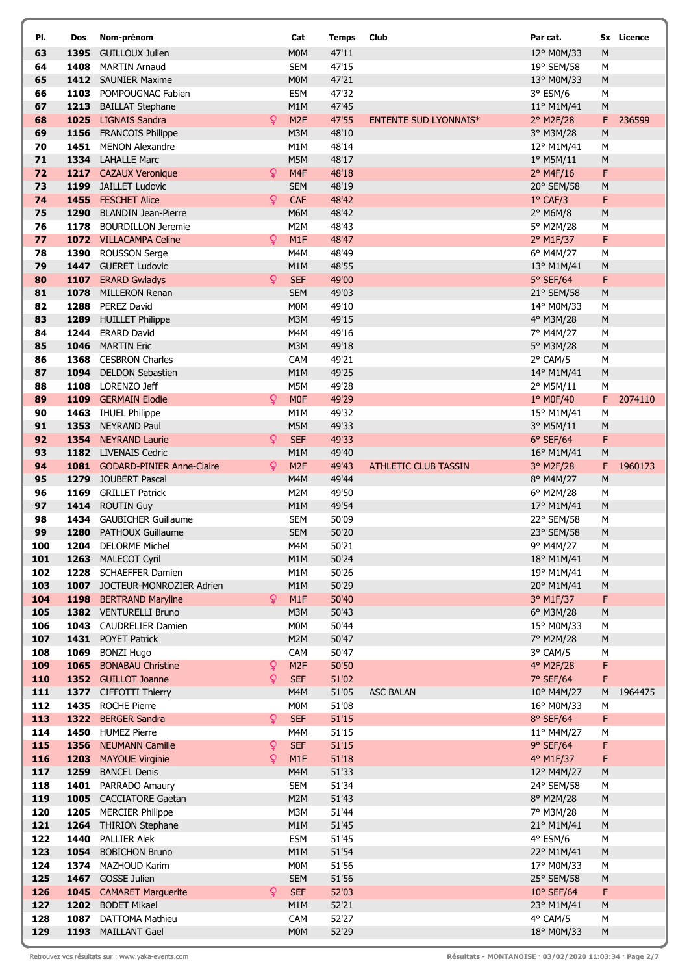| PI.        | Dos          | Nom-prénom                                              |                  | Cat                           | Temps          | Club                         | Par cat.                        |                | Sx Licence |
|------------|--------------|---------------------------------------------------------|------------------|-------------------------------|----------------|------------------------------|---------------------------------|----------------|------------|
| 63         |              | 1395 GUILLOUX Julien                                    |                  | M <sub>0</sub> M              | 47'11          |                              | 12° M0M/33                      | M              |            |
| 64         |              | 1408 MARTIN Arnaud                                      |                  | <b>SEM</b>                    | 47'15          |                              | 19° SEM/58                      | M              |            |
| 65         |              | 1412 SAUNIER Maxime                                     |                  | M <sub>0</sub> M              | 47'21          |                              | 13° M0M/33                      | ${\sf M}$      |            |
| 66         | 1103         | POMPOUGNAC Fabien                                       |                  | <b>ESM</b>                    | 47'32          |                              | 3° ESM/6                        | M              |            |
| 67         | 1213         | <b>BAILLAT Stephane</b>                                 |                  | M1M                           | 47'45          |                              | 11° M1M/41                      | M              |            |
| 68         | 1025         | <b>LIGNAIS Sandra</b>                                   | Q.               | M <sub>2F</sub>               | 47'55          | <b>ENTENTE SUD LYONNAIS*</b> | 2° M2F/28                       | F              | 236599     |
| 69         |              | 1156 FRANCOIS Philippe                                  |                  | M3M                           | 48'10          |                              | 3° M3M/28                       | M              |            |
| 70         | 1451         | <b>MENON Alexandre</b>                                  |                  | M1M                           | 48'14          |                              | 12° M1M/41                      | M              |            |
| 71         |              | 1334 LAHALLE Marc                                       |                  | M5M                           | 48'17          |                              | $1^{\circ}$ M5M/11              | M              |            |
| 72<br>73   | 1199         | 1217 CAZAUX Veronique<br><b>JAILLET Ludovic</b>         | Q                | M <sub>4F</sub><br><b>SEM</b> | 48'18          |                              | 2° M4F/16                       | F              |            |
| 74         |              | 1455 FESCHET Alice                                      | Q.               | CAF                           | 48'19<br>48'42 |                              | 20° SEM/58<br>$1^{\circ}$ CAF/3 | M<br>F         |            |
| 75         |              | 1290 BLANDIN Jean-Pierre                                |                  | M6M                           | 48'42          |                              | 2° M6M/8                        | М              |            |
| 76         |              | 1178 BOURDILLON Jeremie                                 |                  | M <sub>2</sub> M              | 48'43          |                              | 5° M2M/28                       | М              |            |
| 77         |              | 1072 VILLACAMPA Celine                                  | Q.               | M1F                           | 48'47          |                              | 2° M1F/37                       | F              |            |
| 78         | 1390         | <b>ROUSSON Serge</b>                                    |                  | M4M                           | 48'49          |                              | 6° M4M/27                       | M              |            |
| 79         |              | 1447 GUERET Ludovic                                     |                  | M <sub>1</sub> M              | 48'55          |                              | 13° M1M/41                      | M              |            |
| 80         | 1107         | <b>ERARD Gwladys</b>                                    | Q.               | <b>SEF</b>                    | 49'00          |                              | 5° SEF/64                       | F              |            |
| 81         | 1078         | MILLERON Renan                                          |                  | <b>SEM</b>                    | 49'03          |                              | 21° SEM/58                      | M              |            |
| 82         | 1288         | <b>PEREZ David</b>                                      |                  | M <sub>0</sub> M              | 49'10          |                              | 14° M0M/33                      | М              |            |
| 83         | 1289         | <b>HUILLET Philippe</b>                                 |                  | M3M                           | 49'15          |                              | 4° M3M/28                       | M              |            |
| 84         | 1244         | <b>ERARD David</b>                                      |                  | M4M                           | 49'16          |                              | 7° M4M/27                       | М              |            |
| 85         |              | 1046 MARTIN Eric                                        |                  | M <sub>3</sub> M              | 49'18          |                              | 5° M3M/28                       | M              |            |
| 86         |              | 1368 CESBRON Charles                                    |                  | CAM                           | 49'21          |                              | 2° CAM/5                        | М              |            |
| 87         |              | 1094 DELDON Sebastien                                   |                  | M1M                           | 49'25          |                              | 14° M1M/41                      | M              |            |
| 88<br>89   |              | 1108 LORENZO Jeff<br>1109 GERMAIN Elodie                | $\mathsf{Q}$     | M5M<br><b>MOF</b>             | 49'28<br>49'29 |                              | 2° M5M/11<br>1° M0F/40          | М<br>F         | 2074110    |
| 90         |              | 1463 IHUEL Philippe                                     |                  | M1M                           | 49'32          |                              | 15° M1M/41                      | M              |            |
| 91         | 1353         | <b>NEYRAND Paul</b>                                     |                  | M5M                           | 49'33          |                              | 3° M5M/11                       | M              |            |
| 92         |              | 1354 NEYRAND Laurie                                     | Q.               | <b>SEF</b>                    | 49'33          |                              | $6°$ SEF/64                     | F              |            |
| 93         |              | 1182 LIVENAIS Cedric                                    |                  | M1M                           | 49'40          |                              | 16° M1M/41                      | M              |            |
| 94         |              | 1081 GODARD-PINIER Anne-Claire                          | Q.               | M <sub>2F</sub>               | 49'43          | <b>ATHLETIC CLUB TASSIN</b>  | 3° M2F/28                       | F              | 1960173    |
| 95         | 1279         | JOUBERT Pascal                                          |                  | M4M                           | 49'44          |                              | 8° M4M/27                       | M              |            |
| 96         | 1169         | <b>GRILLET Patrick</b>                                  |                  | M <sub>2</sub> M              | 49'50          |                              | $6^{\circ}$ M2M/28              | М              |            |
| 97         |              | 1414 ROUTIN Guy                                         |                  | M1M                           | 49'54          |                              | 17° M1M/41                      | M              |            |
| 98         |              | 1434 GAUBICHER Guillaume                                |                  | <b>SEM</b>                    | 50'09          |                              | 22° SEM/58                      | М              |            |
| 99         | 1280         | PATHOUX Guillaume                                       |                  | <b>SEM</b>                    | 50'20          |                              | 23° SEM/58                      | M              |            |
| 100        |              | 1204 DELORME Michel                                     |                  | M4M                           | 50'21          |                              | 9° M4M/27                       | М              |            |
| 101        |              | 1263 MALECOT Cyril                                      |                  | M1M                           | 50'24          |                              | 18° M1M/41                      | ${\sf M}$      |            |
| 102        |              | 1228 SCHAEFFER Damien                                   |                  | M1M                           | 50'26          |                              | 19° M1M/41                      | М              |            |
| 103<br>104 |              | 1007 JOCTEUR-MONROZIER Adrien<br>1198 BERTRAND Maryline | ¥.               | M1M<br>M1F                    | 50'29<br>50'40 |                              | 20° M1M/41<br>3° M1F/37         | M<br>F         |            |
| 105        |              | 1382 VENTURELLI Bruno                                   |                  | M3M                           | 50'43          |                              | 6° M3M/28                       | ${\sf M}$      |            |
| 106        | 1043         | <b>CAUDRELIER Damien</b>                                |                  | M0M                           | 50'44          |                              | 15° M0M/33                      | М              |            |
| 107        |              | 1431 POYET Patrick                                      |                  | M2M                           | 50'47          |                              | 7° M2M/28                       | ${\sf M}$      |            |
| 108        | 1069         | <b>BONZI Hugo</b>                                       |                  | CAM                           | 50'47          |                              | 3° CAM/5                        | М              |            |
| 109        | 1065         | <b>BONABAU Christine</b>                                | Q                | M <sub>2F</sub>               | 50'50          |                              | 4° M2F/28                       | F              |            |
| 110        |              | 1352 GUILLOT Joanne                                     | Q                | <b>SEF</b>                    | 51'02          |                              | 7° SEF/64                       | F              |            |
| 111        |              | 1377 CIFFOTTI Thierry                                   |                  | M4M                           | 51'05          | <b>ASC BALAN</b>             | 10° M4M/27                      | M              | 1964475    |
| 112        |              | 1435 ROCHE Pierre                                       |                  | <b>MOM</b>                    | 51'08          |                              | 16° M0M/33                      | М              |            |
| 113        |              | 1322 BERGER Sandra                                      | Q.               | <b>SEF</b>                    | 51'15          |                              | $8°$ SEF/64                     | F              |            |
| 114        |              | 1450 HUMEZ Pierre                                       |                  | M4M                           | 51'15          |                              | 11° M4M/27                      | М              |            |
| 115        | 1356         | <b>NEUMANN Camille</b>                                  | $\mathsf Q$<br>ò | <b>SEF</b>                    | 51'15          |                              | 9° SEF/64<br>4° M1F/37          | F              |            |
| 116        | 1203         | <b>MAYOUE Virginie</b>                                  |                  | M1F                           | 51'18<br>51'33 |                              |                                 | F              |            |
| 117<br>118 | 1259<br>1401 | <b>BANCEL Denis</b><br>PARRADO Amaury                   |                  | M4M<br><b>SEM</b>             | 51'34          |                              | 12° M4M/27<br>24° SEM/58        | ${\sf M}$<br>М |            |
| 119        |              | 1005 CACCIATORE Gaetan                                  |                  | M2M                           | 51'43          |                              | 8° M2M/28                       | ${\sf M}$      |            |
| 120        |              | 1205 MERCIER Philippe                                   |                  | M3M                           | 51'44          |                              | 7° M3M/28                       | M              |            |
| 121        | 1264         | <b>THIRION Stephane</b>                                 |                  | M1M                           | 51'45          |                              | 21° M1M/41                      | M              |            |
| 122        | 1440         | <b>PALLIER Alek</b>                                     |                  | <b>ESM</b>                    | 51'45          |                              | $4°$ ESM/6                      | М              |            |
| 123        | 1054         | <b>BOBICHON Bruno</b>                                   |                  | M1M                           | 51'54          |                              | 22° M1M/41                      | ${\sf M}$      |            |
| 124        |              | 1374 MAZHOUD Karim                                      |                  | M0M                           | 51'56          |                              | 17° M0M/33                      | М              |            |
| 125        |              | 1467 GOSSE Julien                                       |                  | <b>SEM</b>                    | 51'56          |                              | 25° SEM/58                      | M              |            |
| 126        |              | 1045 CAMARET Marguerite                                 | Q.               | <b>SEF</b>                    | 52'03          |                              | 10° SEF/64                      | F              |            |
| 127        |              | 1202 BODET Mikael                                       |                  | M1M                           | 52'21          |                              | 23° M1M/41                      | M              |            |
| 128        | 1087         | DATTOMA Mathieu                                         |                  | CAM                           | 52'27          |                              | 4° CAM/5                        | М              |            |
| 129        |              | 1193 MAILLANT Gael                                      |                  | <b>MOM</b>                    | 52'29          |                              | 18° M0M/33                      | ${\sf M}$      |            |

Retrouvez vos résultats sur : www.yaka-events.com **Résultats - MONTANOISE · 03/02/2020 11:03:34 · Page 2/7**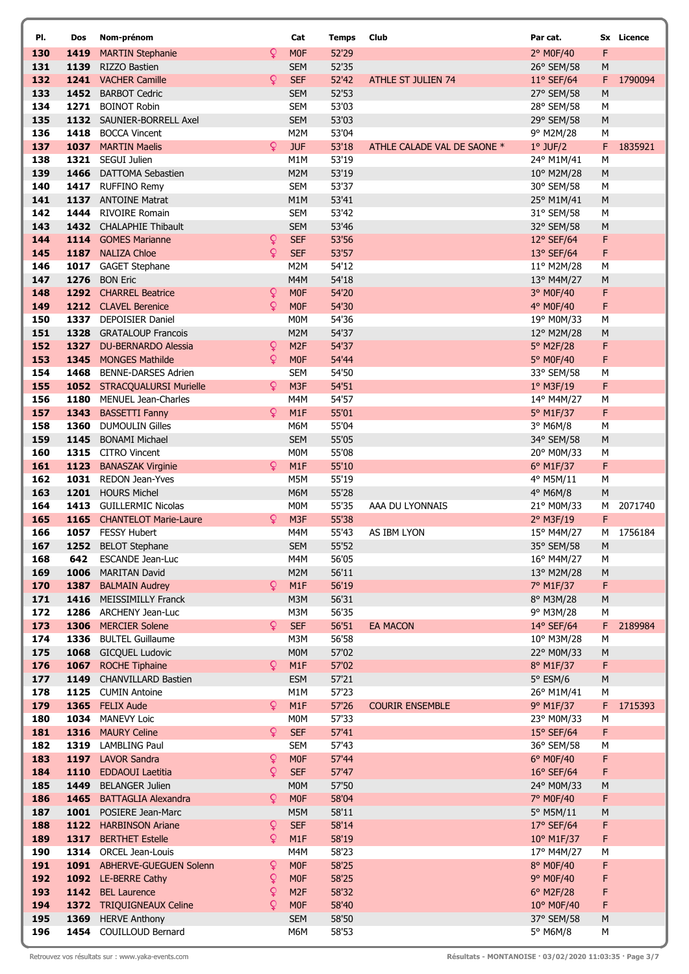| PI.        | Dos  | Nom-prénom                                         |        | Cat                                 | <b>Temps</b>   | Club                        | Par cat.                 |                | Sx Licence |
|------------|------|----------------------------------------------------|--------|-------------------------------------|----------------|-----------------------------|--------------------------|----------------|------------|
| 130        | 1419 | <b>MARTIN Stephanie</b>                            | Q      | <b>MOF</b>                          | 52'29          |                             | 2° M0F/40                | F              |            |
| 131        | 1139 | RIZZO Bastien                                      |        | <b>SEM</b>                          | 52'35          |                             | 26° SEM/58               | M              |            |
| 132        |      | 1241 VACHER Camille                                | Q      | <b>SEF</b>                          | 52'42          | <b>ATHLE ST JULIEN 74</b>   | $11^{\circ}$ SEF/64      | F              | 1790094    |
| 133        |      | 1452 BARBOT Cedric                                 |        | <b>SEM</b>                          | 52'53          |                             | 27° SEM/58               | M              |            |
| 134        |      | 1271 BOINOT Robin                                  |        | <b>SEM</b>                          | 53'03          |                             | 28° SEM/58               | М              |            |
| 135        |      | 1132 SAUNIER-BORRELL Axel                          |        | <b>SEM</b>                          | 53'03          |                             | 29° SEM/58               | M              |            |
| 136<br>137 |      | 1418 BOCCA Vincent<br>1037 MARTIN Maelis           | Q      | M2M<br><b>JUF</b>                   | 53'04<br>53'18 | ATHLE CALADE VAL DE SAONE * | 9° M2M/28                | M<br>F         | 1835921    |
| 138        |      | 1321 SEGUI Julien                                  |        | M1M                                 | 53'19          |                             | $1°$ JUF/2<br>24° M1M/41 | M              |            |
| 139        |      | 1466 DATTOMA Sebastien                             |        | M2M                                 | 53'19          |                             | 10° M2M/28               | M              |            |
| 140        |      | 1417 RUFFINO Remy                                  |        | <b>SEM</b>                          | 53'37          |                             | 30° SEM/58               | M              |            |
| 141        |      | 1137 ANTOINE Matrat                                |        | M1M                                 | 53'41          |                             | 25° M1M/41               | M              |            |
| 142        | 1444 | <b>RIVOIRE Romain</b>                              |        | <b>SEM</b>                          | 53'42          |                             | 31° SEM/58               | M              |            |
| 143        |      | 1432 CHALAPHIE Thibault                            |        | <b>SEM</b>                          | 53'46          |                             | 32° SEM/58               | M              |            |
| 144        |      | 1114 GOMES Marianne                                | ¥      | <b>SEF</b>                          | 53'56          |                             | 12° SEF/64               | F              |            |
| 145        |      | 1187 NALIZA Chloe                                  | Q      | <b>SEF</b>                          | 53'57          |                             | 13° SEF/64               | F              |            |
| 146        |      | 1017 GAGET Stephane                                |        | M2M                                 | 54'12          |                             | 11° M2M/28               | M              |            |
| 147        | 1276 | <b>BON Eric</b>                                    |        | M4M                                 | 54'18          |                             | 13° M4M/27               | M              |            |
| 148        |      | 1292 CHARREL Beatrice                              | Q<br>Q | M <sub>OF</sub>                     | 54'20          |                             | 3° M0F/40                | F              |            |
| 149<br>150 |      | 1212 CLAVEL Berenice<br>1337 DEPOISIER Daniel      |        | M <sub>0F</sub><br>M <sub>0</sub> M | 54'30<br>54'36 |                             | 4° M0F/40<br>19° M0M/33  | F<br>M         |            |
| 151        |      | 1328 GRATALOUP Francois                            |        | M2M                                 | 54'37          |                             | 12° M2M/28               | M              |            |
| 152        |      | 1327 DU-BERNARDO Alessia                           | Q      | M <sub>2F</sub>                     | 54'37          |                             | 5° M2F/28                | F              |            |
| 153        |      | 1345 MONGES Mathilde                               | Q      | M <sub>0F</sub>                     | 54'44          |                             | 5° M0F/40                | F              |            |
| 154        | 1468 | <b>BENNE-DARSES Adrien</b>                         |        | <b>SEM</b>                          | 54'50          |                             | 33° SEM/58               | M              |            |
| 155        |      | 1052 STRACQUALURSI Murielle                        | Q.     | M <sub>3F</sub>                     | 54'51          |                             | $1°$ M3F/19              | F              |            |
| 156        | 1180 | MENUEL Jean-Charles                                |        | M4M                                 | 54'57          |                             | 14° M4M/27               | M              |            |
| 157        |      | 1343 BASSETTI Fanny                                | Q      | M1F                                 | 55'01          |                             | 5° M1F/37                | F              |            |
| 158        |      | 1360 DUMOULIN Gilles                               |        | M6M                                 | 55'04          |                             | 3° M6M/8                 | M              |            |
| 159        | 1145 | <b>BONAMI Michael</b>                              |        | <b>SEM</b>                          | 55'05          |                             | 34° SEM/58               | M              |            |
| 160        |      | 1315 CITRO Vincent                                 |        | <b>MOM</b>                          | 55'08          |                             | 20° M0M/33               | M              |            |
| 161        |      | 1123 BANASZAK Virginie                             | Q      | M1F                                 | 55'10          |                             | 6° M1F/37                | F              |            |
| 162<br>163 |      | 1031 REDON Jean-Yves<br>1201 HOURS Michel          |        | M5M<br>M6M                          | 55'19<br>55'28 |                             | 4° M5M/11<br>4° M6M/8    | M<br>${\sf M}$ |            |
| 164        |      | 1413 GUILLERMIC Nicolas                            |        | M <sub>0</sub> M                    | 55'35          | AAA DU LYONNAIS             | 21° M0M/33               | М              | 2071740    |
| 165        |      | 1165 CHANTELOT Marie-Laure                         | Q      | M <sub>3F</sub>                     | 55'38          |                             | 2° M3F/19                | F              |            |
| 166        |      | 1057 FESSY Hubert                                  |        | M4M                                 | 55'43          | AS IBM LYON                 | 15° M4M/27               | M              | 1756184    |
| 167        |      | 1252 BELOT Stephane                                |        | <b>SEM</b>                          | 55'52          |                             | 35° SEM/58               | ${\sf M}$      |            |
| 168        | 642  | <b>ESCANDE Jean-Luc</b>                            |        | M4M                                 | 56'05          |                             | 16° M4M/27               | M              |            |
| 169        |      | 1006 MARITAN David                                 |        | M2M                                 | 56'11          |                             | 13° M2M/28               | ${\sf M}$      |            |
| 170        |      | 1387 BALMAIN Audrey                                | Q      | M1F                                 | 56'19          |                             | 7° M1F/37                | F              |            |
| 171        |      | 1416 MEISSIMILLY Franck                            |        | M3M                                 | 56'31          |                             | 8° M3M/28                | M              |            |
| 172        |      | 1286 ARCHENY Jean-Luc                              |        | M3M                                 | 56'35          |                             | 9° M3M/28                | M              |            |
| 173        |      | 1306 MERCIER Solene                                | Q      | <b>SEF</b>                          | 56'51          | <b>EA MACON</b>             | 14° SEF/64               | F              | 2189984    |
| 174        |      | 1336 BULTEL Guillaume                              |        | M3M                                 | 56'58          |                             | 10° M3M/28               | M              |            |
| 175<br>176 |      | 1068 GICQUEL Ludovic<br>1067 ROCHE Tiphaine        | Q      | <b>MOM</b><br>M1F                   | 57'02<br>57'02 |                             | 22° M0M/33<br>8° M1F/37  | ${\sf M}$<br>F |            |
| 177        |      | 1149 CHANVILLARD Bastien                           |        | <b>ESM</b>                          | 57'21          |                             | 5° ESM/6                 | M              |            |
| 178        |      | 1125 CUMIN Antoine                                 |        | M1M                                 | 57'23          |                             | 26° M1M/41               | M              |            |
| 179        |      | 1365 FELIX Aude                                    | Q.     | M1F                                 | 57'26          | <b>COURIR ENSEMBLE</b>      | 9° M1F/37                | F              | 1715393    |
| 180        | 1034 | <b>MANEVY Loic</b>                                 |        | M <sub>0</sub> M                    | 57'33          |                             | 23° M0M/33               | M              |            |
| 181        |      | 1316 MAURY Celine                                  | Q      | <b>SEF</b>                          | 57'41          |                             | 15° SEF/64               | F              |            |
| 182        |      | 1319 LAMBLING Paul                                 |        | <b>SEM</b>                          | 57'43          |                             | 36° SEM/58               | М              |            |
| 183        |      | 1197 LAVOR Sandra                                  | Q      | M <sub>0F</sub>                     | 57'44          |                             | $6^\circ$ M0F/40         | F              |            |
| 184        | 1110 | <b>EDDAOUI Laetitia</b>                            | ò      | <b>SEF</b>                          | 57'47          |                             | 16° SEF/64               | F              |            |
| 185        | 1449 | <b>BELANGER Julien</b>                             |        | M0M                                 | 57'50          |                             | 24° M0M/33               | M              |            |
| 186<br>187 |      | 1465 BATTAGLIA Alexandra<br>1001 POSIERE Jean-Marc | Q      | M <sub>0F</sub><br>M5M              | 58'04<br>58'11 |                             | 7° M0F/40<br>5° M5M/11   | F              |            |
| 188        |      | 1122 HARBINSON Ariane                              | ¥      | <b>SEF</b>                          | 58'14          |                             | 17° SEF/64               | M<br>F         |            |
| 189        |      | 1317 BERTHET Estelle                               | Q.     | M1F                                 | 58'19          |                             | 10° M1F/37               | F              |            |
| 190        | 1314 | <b>ORCEL Jean-Louis</b>                            |        | M4M                                 | 58'23          |                             | 17° M4M/27               | M              |            |
| 191        |      | 1091 ABHERVE-GUEGUEN Solenn                        | Q      | <b>MOF</b>                          | 58'25          |                             | 8° M0F/40                | F              |            |
| 192        |      | 1092 LE-BERRE Cathy                                | Q      | M <sub>0F</sub>                     | 58'25          |                             | 9° M0F/40                | F              |            |
| 193        |      | 1142 BEL Laurence                                  | Q      | M <sub>2F</sub>                     | 58'32          |                             | 6° M2F/28                | F              |            |
| 194        |      | 1372 TRIQUIGNEAUX Celine                           | Q      | <b>MOF</b>                          | 58'40          |                             | 10° M0F/40               | F              |            |
| 195        |      | 1369 HERVE Anthony                                 |        | <b>SEM</b>                          | 58'50          |                             | 37° SEM/58               | M              |            |
| 196        |      | 1454 COUILLOUD Bernard                             |        | M6M                                 | 58'53          |                             | 5° M6M/8                 | M              |            |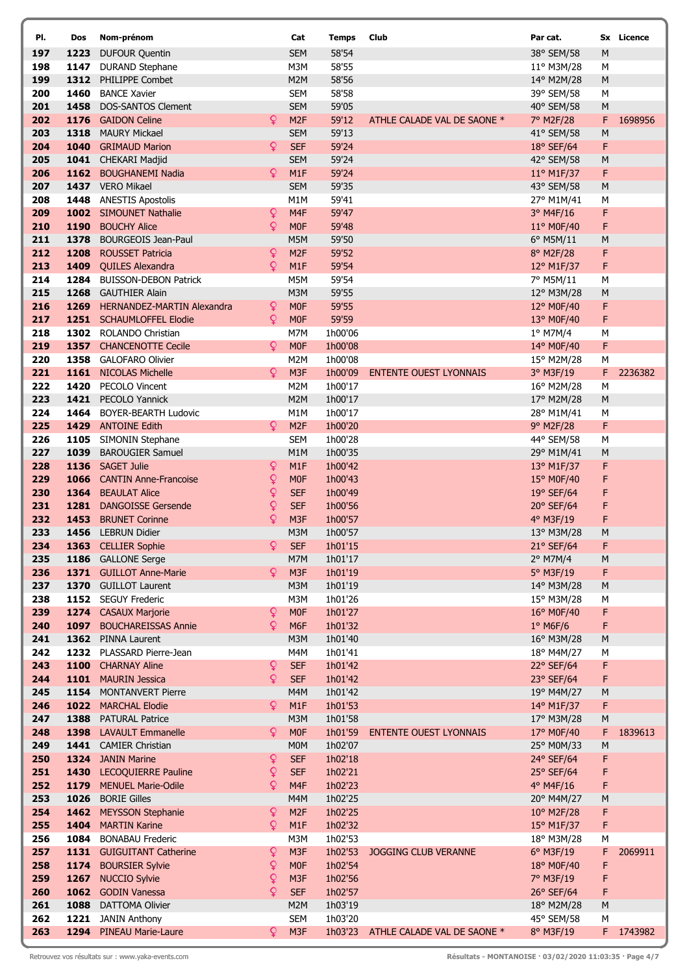| PI.        | Dos  | Nom-prénom                                         |                | Cat                      | <b>Temps</b>       | Club                          | Par cat.                   |        | Sx Licence |
|------------|------|----------------------------------------------------|----------------|--------------------------|--------------------|-------------------------------|----------------------------|--------|------------|
| 197        | 1223 | <b>DUFOUR Quentin</b>                              |                | <b>SEM</b>               | 58'54              |                               | 38° SEM/58                 | M      |            |
| 198        |      | 1147 DURAND Stephane                               |                | M3M                      | 58'55              |                               | 11° M3M/28                 | М      |            |
| 199        |      | 1312 PHILIPPE Combet                               |                | M2M                      | 58'56              |                               | 14° M2M/28                 | M      |            |
| 200        | 1460 | <b>BANCE Xavier</b>                                |                | <b>SEM</b>               | 58'58              |                               | 39° SEM/58                 | M      |            |
| 201        | 1458 | <b>DOS-SANTOS Clement</b>                          |                | <b>SEM</b>               | 59'05              |                               | 40° SEM/58                 | M      |            |
| 202        |      | 1176 GAIDON Celine                                 | Q.             | M <sub>2F</sub>          | 59'12              | ATHLE CALADE VAL DE SAONE *   | 7° M2F/28                  | F      | 1698956    |
| 203<br>204 | 1318 | <b>MAURY Mickael</b><br>1040 GRIMAUD Marion        | ò              | <b>SEM</b><br><b>SEF</b> | 59'13<br>59'24     |                               | 41° SEM/58                 | M<br>F |            |
| 205        |      | 1041 CHEKARI Madjid                                |                | <b>SEM</b>               | 59'24              |                               | $18°$ SEF/64<br>42° SEM/58 | M      |            |
| 206        |      | 1162 BOUGHANEMI Nadia                              | Q              | M1F                      | 59'24              |                               | 11° M1F/37                 | F      |            |
| 207        |      | 1437 VERO Mikael                                   |                | <b>SEM</b>               | 59'35              |                               | 43° SEM/58                 | M      |            |
| 208        | 1448 | <b>ANESTIS Apostolis</b>                           |                | M1M                      | 59'41              |                               | 27° M1M/41                 | М      |            |
| 209        |      | 1002 SIMOUNET Nathalie                             | $\mathsf{Q}$   | M4F                      | 59'47              |                               | 3° M4F/16                  | F      |            |
| 210        |      | 1190 BOUCHY Alice                                  | ò              | <b>MOF</b>               | 59'48              |                               | 11° M0F/40                 | F      |            |
| 211        |      | 1378 BOURGEOIS Jean-Paul                           |                | M5M                      | 59'50              |                               | 6° M5M/11                  | M      |            |
| 212        |      | 1208 ROUSSET Patricia                              | $\mathsf Q$    | M <sub>2F</sub>          | 59'52              |                               | 8° M2F/28                  | F      |            |
| 213        |      | 1409 QUILES Alexandra                              | Q              | M1F                      | 59'54              |                               | 12° M1F/37                 | F      |            |
| 214        | 1284 | <b>BUISSON-DEBON Patrick</b>                       |                | M5M                      | 59'54              |                               | 7° M5M/11                  | М      |            |
| 215        |      | 1268 GAUTHIER Alain                                |                | M3M                      | 59'55              |                               | 12° M3M/28                 | M      |            |
| 216        |      | 1269 HERNANDEZ-MARTIN Alexandra                    | $\mathsf{Q}$   | <b>MOF</b>               | 59'55              |                               | 12° M0F/40                 | F      |            |
| 217<br>218 |      | 1251 SCHAUMLOFFEL Elodie<br>1302 ROLANDO Christian | Q              | <b>MOF</b><br>M7M        | 59'59              |                               | 13° M0F/40                 | F      |            |
| 219        |      | 1357 CHANCENOTTE Cecile                            | Q.             | <b>MOF</b>               | 1h00'06<br>1h00'08 |                               | 1° M7M/4<br>14° M0F/40     | М<br>F |            |
| 220        |      | 1358 GALOFARO Olivier                              |                | M2M                      | 1h00'08            |                               | 15° M2M/28                 | М      |            |
| 221        |      | 1161 NICOLAS Michelle                              | Q              | M <sub>3F</sub>          | 1h00'09            | <b>ENTENTE OUEST LYONNAIS</b> | 3° M3F/19                  | F      | 2236382    |
| 222        |      | 1420 PECOLO Vincent                                |                | M <sub>2</sub> M         | 1h00'17            |                               | 16° M2M/28                 | M      |            |
| 223        |      | 1421 PECOLO Yannick                                |                | M2M                      | 1h00'17            |                               | 17° M2M/28                 | M      |            |
| 224        |      | 1464 BOYER-BEARTH Ludovic                          |                | M1M                      | 1h00'17            |                               | 28° M1M/41                 | М      |            |
| 225        |      | 1429 ANTOINE Edith                                 | $\overline{Q}$ | M <sub>2F</sub>          | 1h00'20            |                               | 9° M2F/28                  | F      |            |
| 226        | 1105 | SIMONIN Stephane                                   |                | <b>SEM</b>               | 1h00'28            |                               | 44° SEM/58                 | M      |            |
| 227        | 1039 | <b>BAROUGIER Samuel</b>                            |                | M1M                      | 1h00'35            |                               | 29° M1M/41                 | M      |            |
| 228        |      | 1136 SAGET Julie                                   | $\mathsf{Q}$   | M <sub>1F</sub>          | 1h00'42            |                               | 13° M1F/37                 | F      |            |
| 229        |      | 1066 CANTIN Anne-Francoise                         | Q              | <b>MOF</b>               | 1h00'43            |                               | 15° M0F/40                 | F      |            |
| 230        |      | 1364 BEAULAT Alice                                 | $\mathsf{Q}$   | <b>SEF</b>               | 1h00'49            |                               | 19° SEF/64                 | F      |            |
| 231        | 1281 | <b>DANGOISSE Gersende</b>                          | Q              | <b>SEF</b>               | 1h00'56            |                               | 20° SEF/64                 | F      |            |
| 232<br>233 | 1453 | <b>BRUNET Corinne</b>                              | Q              | M <sub>3F</sub><br>M3M   | 1h00'57            |                               | 4° M3F/19                  | F      |            |
| 234        |      | 1456 LEBRUN Didier<br>1363 CELLIER Sophie          | Q              | <b>SEF</b>               | 1h00'57<br>1h01'15 |                               | 13° M3M/28<br>21° SEF/64   | M<br>F |            |
| 235        |      | 1186 GALLONE Serge                                 |                | M7M                      | 1h01'17            |                               | 2° M7M/4                   | M      |            |
| 236        |      | 1371 GUILLOT Anne-Marie                            | Q.             | M <sub>3F</sub>          | 1h01'19            |                               | 5° M3F/19                  | F      |            |
| 237        |      | 1370 GUILLOT Laurent                               |                | M3M                      | 1h01'19            |                               | 14° M3M/28                 | M      |            |
| 238        |      | 1152 SEGUY Frederic                                |                | M3M                      | 1h01'26            |                               | 15° M3M/28                 | М      |            |
| 239        |      | 1274 CASAUX Marjorie                               | $\mathsf{Q}$   | M <sub>OF</sub>          | 1h01'27            |                               | 16° M0F/40                 | F      |            |
| 240        | 1097 | <b>BOUCHAREISSAS Annie</b>                         | ò              | M <sub>6F</sub>          | 1h01'32            |                               | $1°$ M6F/6                 | F      |            |
| 241        |      | 1362 PINNA Laurent                                 |                | M3M                      | 1h01'40            |                               | 16° M3M/28                 | M      |            |
| 242        |      | 1232 PLASSARD Pierre-Jean                          |                | M4M                      | 1h01'41            |                               | 18° M4M/27                 | М      |            |
| 243        |      | 1100 CHARNAY Aline                                 | $\mathsf{Q}$   | <b>SEF</b>               | 1h01'42            |                               | 22° SEF/64                 | F      |            |
| 244        |      | 1101 MAURIN Jessica                                | Q              | <b>SEF</b>               | 1h01'42            |                               | 23° SEF/64                 | F      |            |
| 245        | 1154 | <b>MONTANVERT Pierre</b><br>1022 MARCHAL Elodie    | Q.             | M4M<br>M <sub>1</sub> F  | 1h01'42<br>1h01'53 |                               | 19° M4M/27                 | M      |            |
| 246<br>247 |      | 1388 PATURAL Patrice                               |                | M3M                      | 1h01'58            |                               | 14° M1F/37<br>17° M3M/28   | F<br>M |            |
| 248        |      | 1398 LAVAULT Emmanelle                             | Q.             | <b>MOF</b>               | 1h01'59            | <b>ENTENTE OUEST LYONNAIS</b> | 17° M0F/40                 | F      | 1839613    |
| 249        |      | 1441 CAMIER Christian                              |                | M <sub>0</sub> M         | 1h02'07            |                               | 25° M0M/33                 | M      |            |
| 250        |      | 1324 JANIN Marine                                  | ò              | <b>SEF</b>               | 1h02'18            |                               | 24° SEF/64                 | F      |            |
| 251        |      | 1430 LECOQUIERRE Pauline                           | Q              | <b>SEF</b>               | 1h02'21            |                               | 25° SEF/64                 | F      |            |
| 252        | 1179 | <b>MENUEL Marie-Odile</b>                          | Q              | M <sub>4F</sub>          | 1h02'23            |                               | 4° M4F/16                  | F      |            |
| 253        | 1026 | <b>BORIE Gilles</b>                                |                | M4M                      | 1h02'25            |                               | 20° M4M/27                 | M      |            |
| 254        |      | 1462 MEYSSON Stephanie                             | ¥              | M <sub>2F</sub>          | 1h02'25            |                               | $10^{\circ}$ M2F/28        | F      |            |
| 255        |      | 1404 MARTIN Karine                                 | Q              | M1F                      | 1h02'32            |                               | 15° M1F/37                 | F      |            |
| 256        | 1084 | <b>BONABAU Frederic</b>                            |                | M3M                      | 1h02'53            |                               | 18° M3M/28                 | М      |            |
| 257        |      | 1131 GUIGUITANT Catherine                          | $\mathsf{Q}$   | M <sub>3F</sub>          | 1h02'53            | JOGGING CLUB VERANNE          | 6° M3F/19                  | F      | 2069911    |
| 258        |      | 1174 BOURSIER Sylvie                               | $\mathsf{Q}$   | M <sub>OF</sub>          | 1h02'54            |                               | 18° M0F/40                 | F      |            |
| 259        | 1267 | <b>NUCCIO Sylvie</b>                               | Q<br>Q         | M3F<br><b>SEF</b>        | 1h02'56            |                               | 7° M3F/19                  | F      |            |
| 260<br>261 |      | 1062 GODIN Vanessa<br>1088 DATTOMA Olivier         |                | M2M                      | 1h02'57<br>1h03'19 |                               | 26° SEF/64<br>18° M2M/28   | F<br>M |            |
| 262        |      | 1221 JANIN Anthony                                 |                | <b>SEM</b>               | 1h03'20            |                               | 45° SEM/58                 | М      |            |
| 263        |      | 1294 PINEAU Marie-Laure                            | Q.             | M <sub>3F</sub>          | 1h03'23            | ATHLE CALADE VAL DE SAONE *   | 8° M3F/19                  |        | F 1743982  |
|            |      |                                                    |                |                          |                    |                               |                            |        |            |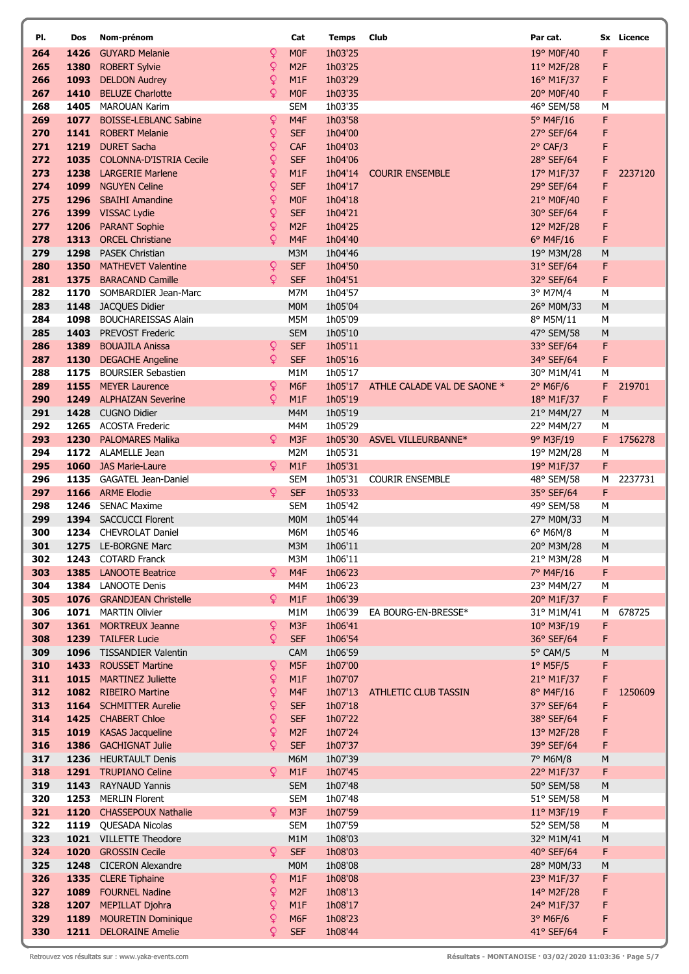| PI.        | Dos  | Nom-prénom                                        |                   | Cat                            | <b>Temps</b>       | Club                        | Par cat.                 |        | Sx Licence |
|------------|------|---------------------------------------------------|-------------------|--------------------------------|--------------------|-----------------------------|--------------------------|--------|------------|
| 264        | 1426 | <b>GUYARD Melanie</b>                             | Q                 | <b>MOF</b>                     | 1h03'25            |                             | 19° M0F/40               | F      |            |
| 265        | 1380 | <b>ROBERT Sylvie</b>                              | Q                 | M <sub>2F</sub>                | 1h03'25            |                             | 11° M2F/28               | F      |            |
| 266        | 1093 | <b>DELDON Audrey</b>                              | Q                 | M1F                            | 1h03'29            |                             | 16° M1F/37               | F      |            |
| 267        | 1410 | <b>BELUZE Charlotte</b>                           | Q                 | M <sub>OF</sub>                | 1h03'35            |                             | 20° M0F/40               | F      |            |
| 268<br>269 |      | 1405 MAROUAN Karim<br>1077 BOISSE-LEBLANC Sabine  | Q                 | <b>SEM</b><br>M4F              | 1h03'35<br>1h03'58 |                             | 46° SEM/58               | M<br>F |            |
| 270        |      | 1141 ROBERT Melanie                               | ò                 | <b>SEF</b>                     | 1h04'00            |                             | 5° M4F/16<br>27° SEF/64  | F      |            |
| 271        |      | 1219 DURET Sacha                                  | ò                 | CAF                            | 1h04'03            |                             | $2°$ CAF/3               | F      |            |
| 272        |      | 1035 COLONNA-D'ISTRIA Cecile                      | Q                 | <b>SEF</b>                     | 1h04'06            |                             | 28° SEF/64               | F      |            |
| 273        |      | 1238 LARGERIE Marlene                             | ¥                 | M1F                            | 1h04'14            | <b>COURIR ENSEMBLE</b>      | 17° M1F/37               | F      | 2237120    |
| 274        | 1099 | <b>NGUYEN Celine</b>                              | Q                 | <b>SEF</b>                     | 1h04'17            |                             | 29° SEF/64               | F      |            |
| 275        |      | 1296 SBAIHI Amandine                              | Q                 | <b>MOF</b>                     | 1h04'18            |                             | 21° M0F/40               | F      |            |
| 276        |      | 1399 VISSAC Lydie                                 | Q                 | <b>SEF</b>                     | 1h04'21            |                             | 30° SEF/64               | F      |            |
| 277        |      | 1206 PARANT Sophie                                | ò                 | M <sub>2F</sub>                | 1h04'25            |                             | 12° M2F/28               | F      |            |
| 278        | 1313 | <b>ORCEL Christiane</b>                           | Q                 | M <sub>4F</sub>                | 1h04'40            |                             | $6°$ M4F/16              | F      |            |
| 279<br>280 | 1350 | 1298 PASEK Christian<br><b>MATHEVET Valentine</b> | $\mathsf{Q}$      | M3M<br><b>SEF</b>              | 1h04'46<br>1h04'50 |                             | 19° M3M/28<br>31° SEF/64 | M<br>F |            |
| 281        |      | 1375 BARACAND Camille                             | Q                 | <b>SEF</b>                     | 1h04'51            |                             | 32° SEF/64               | F      |            |
| 282        |      | 1170 SOMBARDIER Jean-Marc                         |                   | M7M                            | 1h04'57            |                             | 3° M7M/4                 | M      |            |
| 283        |      | 1148 JACQUES Didier                               |                   | M <sub>0</sub> M               | 1h05'04            |                             | 26° M0M/33               | M      |            |
| 284        | 1098 | <b>BOUCHAREISSAS Alain</b>                        |                   | M5M                            | 1h05'09            |                             | 8° M5M/11                | М      |            |
| 285        |      | 1403 PREVOST Frederic                             |                   | <b>SEM</b>                     | 1h05'10            |                             | 47° SEM/58               | M      |            |
| 286        | 1389 | <b>BOUAJILA Anissa</b>                            | Q                 | <b>SEF</b>                     | 1h05'11            |                             | 33° SEF/64               | F      |            |
| 287        | 1130 | <b>DEGACHE Angeline</b>                           | Q                 | <b>SEF</b>                     | 1h05'16            |                             | 34° SEF/64               | F      |            |
| 288        | 1175 | <b>BOURSIER Sebastien</b>                         | Q                 | M <sub>1</sub> M               | 1h05'17            |                             | 30° M1M/41               | M      |            |
| 289<br>290 |      | 1155 MEYER Laurence<br>1249 ALPHAIZAN Severine    | Q                 | M <sub>6F</sub><br>M1F         | 1h05'17<br>1h05'19 | ATHLE CALADE VAL DE SAONE * | $2°$ M6F/6<br>18° M1F/37 | F<br>F | 219701     |
| 291        |      | 1428 CUGNO Didier                                 |                   | M4M                            | 1h05'19            |                             | 21° M4M/27               | M      |            |
| 292        |      | 1265 ACOSTA Frederic                              |                   | M4M                            | 1h05'29            |                             | 22° M4M/27               | M      |            |
| 293        |      | 1230 PALOMARES Malika                             | Q                 | M <sub>3F</sub>                | 1h05'30            | ASVEL VILLEURBANNE*         | 9° M3F/19                | F      | 1756278    |
| 294        |      | 1172 ALAMELLE Jean                                |                   | M2M                            | 1h05'31            |                             | 19° M2M/28               | M      |            |
| 295        |      | 1060 JAS Marie-Laure                              | Q                 | M1F                            | 1h05'31            |                             | 19° M1F/37               | F      |            |
| 296        |      | 1135 GAGATEL Jean-Daniel                          |                   | <b>SEM</b>                     | 1h05'31            | <b>COURIR ENSEMBLE</b>      | 48° SEM/58               | М      | 2237731    |
| 297        |      | 1166 ARME Elodie                                  | Q                 | <b>SEF</b>                     | 1h05'33            |                             | 35° SEF/64               | F      |            |
| 298<br>299 | 1246 | <b>SENAC Maxime</b><br>1394 SACCUCCI Florent      |                   | <b>SEM</b><br>M <sub>0</sub> M | 1h05'42<br>1h05'44 |                             | 49° SEM/58<br>27° M0M/33 | M<br>M |            |
| 300        |      | 1234 CHEVROLAT Daniel                             |                   | M6M                            | 1h05'46            |                             | 6° M6M/8                 | М      |            |
| 301        |      | 1275 LE-BORGNE Marc                               |                   | M3M                            | 1h06'11            |                             | 20° M3M/28               | M      |            |
| 302        |      | 1243 COTARD Franck                                |                   | M3M                            | 1h06'11            |                             | 21° M3M/28               | M      |            |
| 303        |      | 1385 LANOOTE Beatrice                             | Q                 | M4F                            | 1h06'23            |                             | 7° M4F/16                | F      |            |
| 304        |      | 1384 LANOOTE Denis                                |                   | M4M                            | 1h06'23            |                             | 23° M4M/27               | M      |            |
| 305        |      | 1076 GRANDJEAN Christelle                         | Q                 | M1F                            | 1h06'39            |                             | 20° M1F/37               | F      |            |
| 306        |      | 1071 MARTIN Olivier                               |                   | M1M                            | 1h06'39            | EA BOURG-EN-BRESSE*         | 31° M1M/41               | M      | 678725     |
| 307<br>308 |      | 1361 MORTREUX Jeanne<br>1239 TAILFER Lucie        | ò<br>ò            | M <sub>3F</sub><br><b>SEF</b>  | 1h06'41<br>1h06'54 |                             | 10° M3F/19<br>36° SEF/64 | F<br>F |            |
| 309        |      | 1096 TISSANDIER Valentin                          |                   | <b>CAM</b>                     | 1h06'59            |                             | 5° CAM/5                 | M      |            |
| 310        |      | 1433 ROUSSET Martine                              | ò                 | M <sub>5F</sub>                | 1h07'00            |                             | $1°$ M5F/5               | F      |            |
| 311        | 1015 | <b>MARTINEZ Juliette</b>                          | Q                 | M1F                            | 1h07'07            |                             | 21° M1F/37               | F      |            |
| 312        |      | 1082 RIBEIRO Martine                              | Q                 | M <sub>4F</sub>                | 1h07'13            | ATHLETIC CLUB TASSIN        | 8° M4F/16                | F      | 1250609    |
| 313        |      | 1164 SCHMITTER Aurelie                            | ¥                 | <b>SEF</b>                     | 1h07'18            |                             | 37° SEF/64               | F      |            |
| 314        |      | 1425 CHABERT Chloe                                | Q                 | <b>SEF</b>                     | 1h07'22            |                             | 38° SEF/64               | F      |            |
| 315        | 1019 | <b>KASAS Jacqueline</b>                           | $\mathsf{Q}$<br>Q | M <sub>2F</sub>                | 1h07'24            |                             | 13° M2F/28               | F      |            |
| 316<br>317 | 1386 | <b>GACHIGNAT Julie</b><br>1236 HEURTAULT Denis    |                   | <b>SEF</b><br>M6M              | 1h07'37<br>1h07'39 |                             | 39° SEF/64<br>7° M6M/8   | F<br>M |            |
| 318        |      | 1291 TRUPIANO Celine                              | Q.                | M1F                            | 1h07'45            |                             | 22° M1F/37               | F      |            |
| 319        |      | 1143 RAYNAUD Yannis                               |                   | <b>SEM</b>                     | 1h07'48            |                             | 50° SEM/58               | M      |            |
| 320        |      | 1253 MERLIN Florent                               |                   | <b>SEM</b>                     | 1h07'48            |                             | 51° SEM/58               | M      |            |
| 321        |      | 1120 CHASSEPOUX Nathalie                          | Q.                | M3F                            | 1h07'59            |                             | 11° M3F/19               | F      |            |
| 322        |      | 1119 QUESADA Nicolas                              |                   | <b>SEM</b>                     | 1h07'59            |                             | 52° SEM/58               | M      |            |
| 323        |      | 1021 VILLETTE Theodore                            |                   | M1M                            | 1h08'03            |                             | 32° M1M/41               | M      |            |
| 324        |      | 1020 GROSSIN Cecile                               | ò                 | <b>SEF</b>                     | 1h08'03            |                             | 40° SEF/64               | F      |            |
| 325<br>326 |      | 1248 CICERON Alexandre<br>1335 CLERE Tiphaine     | Q                 | M <sub>0</sub> M<br>M1F        | 1h08'08<br>1h08'08 |                             | 28° M0M/33               | M<br>F |            |
| 327        |      | 1089 FOURNEL Nadine                               | $\mathsf{Q}$      | M <sub>2F</sub>                | 1h08'13            |                             | 23° M1F/37<br>14° M2F/28 | F      |            |
| 328        | 1207 | MEPILLAT Djohra                                   | $\mathsf{Q}$      | M1F                            | 1h08'17            |                             | 24° M1F/37               | F      |            |
| 329        | 1189 | <b>MOURETIN Dominique</b>                         | ¥                 | M <sub>6F</sub>                | 1h08'23            |                             | $3°$ M6F/6               | F      |            |
| 330        |      | 1211 DELORAINE Amelie                             | ¥                 | <b>SEF</b>                     | 1h08'44            |                             | 41° SEF/64               | F      |            |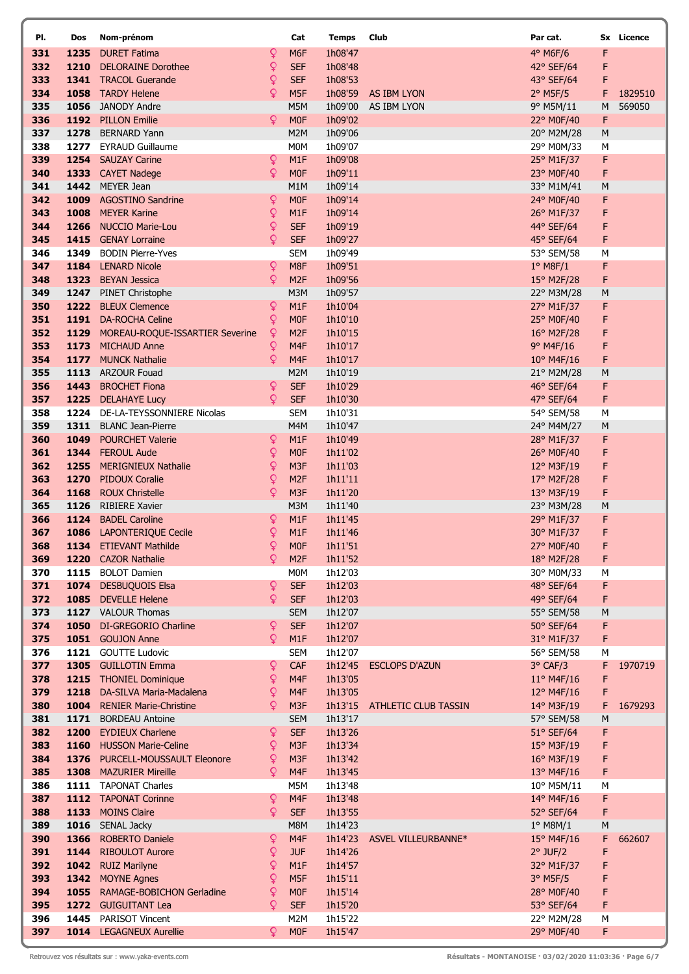| PI.        | Dos  | Nom-prénom                                                |                             | Cat                                 | <b>Temps</b>       | Club                        | Par cat.                 |        | Sx Licence |
|------------|------|-----------------------------------------------------------|-----------------------------|-------------------------------------|--------------------|-----------------------------|--------------------------|--------|------------|
| 331        | 1235 | <b>DURET Fatima</b>                                       | Q                           | M <sub>6F</sub>                     | 1h08'47            |                             | 4° M6F/6                 | F      |            |
| 332        |      | 1210 DELORAINE Dorothee                                   | Q                           | <b>SEF</b>                          | 1h08'48            |                             | 42° SEF/64               | F      |            |
| 333        |      | 1341 TRACOL Guerande                                      | Q                           | <b>SEF</b>                          | 1h08'53            |                             | 43° SEF/64               | F      |            |
| 334        |      | 1058 TARDY Helene                                         | Q                           | M <sub>5F</sub>                     | 1h08'59            | AS IBM LYON                 | $2^{\circ}$ M5F/5        | F      | 1829510    |
| 335        |      | 1056 JANODY Andre                                         |                             | M5M                                 | 1h09'00            | AS IBM LYON                 | 9° M5M/11                | M      | 569050     |
| 336        |      | 1192 PILLON Emilie                                        | Q                           | <b>MOF</b>                          | 1h09'02            |                             | 22° M0F/40               | F      |            |
| 337<br>338 |      | 1278 BERNARD Yann<br>1277 EYRAUD Guillaume                |                             | M2M<br>M <sub>0</sub> M             | 1h09'06<br>1h09'07 |                             | 20° M2M/28<br>29° M0M/33 | M<br>M |            |
| 339        |      | 1254 SAUZAY Carine                                        | $\mathsf{Q}$                | M1F                                 | 1h09'08            |                             | 25° M1F/37               | F      |            |
| 340        |      | 1333 CAYET Nadege                                         | Q.                          | <b>MOF</b>                          | 1h09'11            |                             | 23° M0F/40               | F      |            |
| 341        |      | 1442 MEYER Jean                                           |                             | M1M                                 | 1h09'14            |                             | 33° M1M/41               | M      |            |
| 342        |      | 1009 AGOSTINO Sandrine                                    | $\mathsf{Q}$                | M <sub>OF</sub>                     | 1h09'14            |                             | 24° M0F/40               | F      |            |
| 343        |      | 1008 MEYER Karine                                         | Q                           | M1F                                 | 1h09'14            |                             | 26° M1F/37               | F      |            |
| 344        |      | 1266 NUCCIO Marie-Lou                                     | Q                           | <b>SEF</b>                          | 1h09'19            |                             | 44° SEF/64               | F      |            |
| 345        |      | 1415 GENAY Lorraine                                       | Q                           | <b>SEF</b>                          | 1h09'27            |                             | 45° SEF/64               | F      |            |
| 346        | 1349 | <b>BODIN Pierre-Yves</b>                                  |                             | <b>SEM</b>                          | 1h09'49            |                             | 53° SEM/58               | М      |            |
| 347        |      | 1184 LENARD Nicole                                        | $\mathsf{Q}$                | M8F                                 | 1h09'51            |                             | $1°$ M8F/1               | F      |            |
| 348        |      | 1323 BEYAN Jessica                                        | ò                           | M <sub>2F</sub>                     | 1h09'56            |                             | 15° M2F/28               | F      |            |
| 349<br>350 |      | 1247 PINET Christophe<br>1222 BLEUX Clemence              | Q                           | M3M<br>M1F                          | 1h09'57<br>1h10'04 |                             | 22° M3M/28<br>27° M1F/37 | M<br>F |            |
| 351        |      | 1191 DA-ROCHA Celine                                      | Q                           | <b>MOF</b>                          | 1h10'10            |                             | 25° M0F/40               | F      |            |
| 352        |      | 1129 MOREAU-ROQUE-ISSARTIER Severine                      | ₽                           | M <sub>2F</sub>                     | 1h10'15            |                             | 16° M2F/28               | F      |            |
| 353        |      | 1173 MICHAUD Anne                                         | Q                           | M <sub>4F</sub>                     | 1h10'17            |                             | $9°$ M4F/16              | F      |            |
| 354        |      | 1177 MUNCK Nathalie                                       | Q                           | M <sub>4F</sub>                     | 1h10'17            |                             | 10° M4F/16               | F      |            |
| 355        |      | 1113 ARZOUR Fouad                                         |                             | M2M                                 | 1h10'19            |                             | 21° M2M/28               | M      |            |
| 356        |      | 1443 BROCHET Fiona                                        | ò                           | <b>SEF</b>                          | 1h10'29            |                             | 46° SEF/64               | F      |            |
| 357        |      | 1225 DELAHAYE Lucy                                        | Q.                          | <b>SEF</b>                          | 1h10'30            |                             | 47° SEF/64               | F      |            |
| 358        |      | 1224 DE-LA-TEYSSONNIERE Nicolas                           |                             | <b>SEM</b>                          | 1h10'31            |                             | 54° SEM/58               | M      |            |
| 359        |      | 1311 BLANC Jean-Pierre                                    |                             | M4M                                 | 1h10'47            |                             | 24° M4M/27               | M      |            |
| 360        |      | 1049 POURCHET Valerie                                     | Q                           | M <sub>1</sub> F                    | 1h10'49            |                             | 28° M1F/37               | F      |            |
| 361<br>362 |      | 1344 FEROUL Aude<br>1255 MERIGNIEUX Nathalie              | $\mathsf{Q}$<br>$\mathsf Q$ | <b>MOF</b><br>M <sub>3F</sub>       | 1h11'02            |                             | 26° M0F/40               | F      |            |
| 363        |      | 1270 PIDOUX Coralie                                       | Q                           | M <sub>2F</sub>                     | 1h11'03<br>1h11'11 |                             | 12° M3F/19<br>17° M2F/28 | F<br>F |            |
| 364        |      | 1168 ROUX Christelle                                      | ò                           | M <sub>3F</sub>                     | 1h11'20            |                             | 13° M3F/19               | F      |            |
| 365        |      | 1126 RIBIERE Xavier                                       |                             | M3M                                 | 1h11'40            |                             | 23° M3M/28               | M      |            |
| 366        |      | 1124 BADEL Caroline                                       | $\mathsf{Q}$                | M <sub>1</sub> F                    | 1h11'45            |                             | 29° M1F/37               | F      |            |
| 367        |      | 1086 LAPONTERIQUE Cecile                                  | $\mathsf{Q}$                | M1F                                 | 1h11'46            |                             | 30° M1F/37               | F      |            |
| 368        |      | 1134 ETIEVANT Mathilde                                    | ò                           | <b>MOF</b>                          | 1h11'51            |                             | 27° M0F/40               | F      |            |
| 369        |      | 1220 CAZOR Nathalie                                       | Q                           | M <sub>2F</sub>                     | 1h11'52            |                             | 18° M2F/28               | F      |            |
| 370        |      | 1115 BOLOT Damien                                         |                             | M <sub>0</sub> M                    | 1h12'03            |                             | 30° M0M/33               | М      |            |
| 371        |      | 1074 DESBUQUOIS Elsa                                      | Q                           | <b>SEF</b>                          | 1h12'03            |                             | 48° SEF/64               | F      |            |
| 372        |      | 1085 DEVELLE Helene                                       | Q.                          | <b>SEF</b><br><b>SEM</b>            | 1h12'03            |                             | 49° SEF/64               | F      |            |
| 373<br>374 |      | 1127 VALOUR Thomas<br>1050 DI-GREGORIO Charline           | ò                           | <b>SEF</b>                          | 1h12'07<br>1h12'07 |                             | 55° SEM/58<br>50° SEF/64 | M<br>F |            |
| 375        |      | 1051 GOUJON Anne                                          | Q.                          | M1F                                 | 1h12'07            |                             | 31° M1F/37               | F      |            |
| 376        |      | 1121 GOUTTE Ludovic                                       |                             | <b>SEM</b>                          | 1h12'07            |                             | 56° SEM/58               | M      |            |
| 377        |      | 1305 GUILLOTIN Emma                                       | ò                           | CAF                                 | 1h12'45            | <b>ESCLOPS D'AZUN</b>       | $3^{\circ}$ CAF/3        | F      | 1970719    |
| 378        |      | 1215 THONIEL Dominique                                    | $\mathsf{Q}$                | M <sub>4F</sub>                     | 1h13'05            |                             | $11^{\circ}$ M4F/16      | F      |            |
| 379        |      | 1218 DA-SILVA Maria-Madalena                              | Q                           | M <sub>4F</sub>                     | 1h13'05            |                             | $12^{\circ}$ M4F/16      | F      |            |
| 380        |      | 1004 RENIER Marie-Christine                               | Q                           | M <sub>3F</sub>                     | 1h13'15            | <b>ATHLETIC CLUB TASSIN</b> | 14° M3F/19               | F      | 1679293    |
| 381        |      | 1171 BORDEAU Antoine                                      |                             | <b>SEM</b>                          | 1h13'17            |                             | 57° SEM/58               | M      |            |
| 382        |      | 1200 EYDIEUX Charlene                                     | Q                           | <b>SEF</b>                          | 1h13'26            |                             | 51° SEF/64               | F      |            |
| 383        |      | 1160 HUSSON Marie-Celine                                  | Q                           | M <sub>3F</sub>                     | 1h13'34            |                             | 15° M3F/19               | F      |            |
| 384<br>385 |      | 1376 PURCELL-MOUSSAULT Eleonore<br>1308 MAZURIER Mireille | Q.<br>Q                     | M3F<br>M4F                          | 1h13'42<br>1h13'45 |                             | 16° M3F/19<br>13° M4F/16 | F<br>F |            |
| 386        |      | 1111 TAPONAT Charles                                      |                             | M5M                                 | 1h13'48            |                             | 10° M5M/11               | M      |            |
| 387        |      | 1112 TAPONAT Corinne                                      | ¥                           | M <sub>4F</sub>                     | 1h13'48            |                             | 14° M4F/16               | F      |            |
| 388        |      | 1133 MOINS Claire                                         | Q.                          | <b>SEF</b>                          | 1h13'55            |                             | 52° SEF/64               | F      |            |
| 389        |      | 1016 SENAL Jacky                                          |                             | M8M                                 | 1h14'23            |                             | $1^\circ$ M8M/1          | M      |            |
| 390        |      | 1366 ROBERTO Daniele                                      | Ŷ                           | M4F                                 | 1h14'23            | ASVEL VILLEURBANNE*         | $15^{\circ}$ M4F/16      | F      | 662607     |
| 391        |      | 1144 RIBOULOT Aurore                                      | $\mathsf{Q}$                | <b>JUF</b>                          | 1h14'26            |                             | $2°$ JUF/2               | F      |            |
| 392        |      | 1042 RUIZ Marilyne                                        | ₽                           | M1F                                 | 1h14'57            |                             | 32° M1F/37               | F      |            |
| 393        |      | 1342 MOYNE Agnes                                          | Q                           | M <sub>5F</sub>                     | 1h15'11            |                             | $3°$ M5F/5               | F      |            |
| 394        |      | 1055 RAMAGE-BOBICHON Gerladine                            | Q                           | <b>MOF</b>                          | 1h15'14            |                             | 28° M0F/40               | F      |            |
| 395        |      | 1272 GUIGUITANT Lea                                       | Q                           | <b>SEF</b>                          | 1h15'20            |                             | 53° SEF/64               | F      |            |
| 396<br>397 |      | 1445 PARISOT Vincent<br>1014 LEGAGNEUX Aurellie           | Q.                          | M <sub>2</sub> M<br>M <sub>0F</sub> | 1h15'22<br>1h15'47 |                             | 22° M2M/28<br>29° M0F/40 | M<br>F |            |
|            |      |                                                           |                             |                                     |                    |                             |                          |        |            |